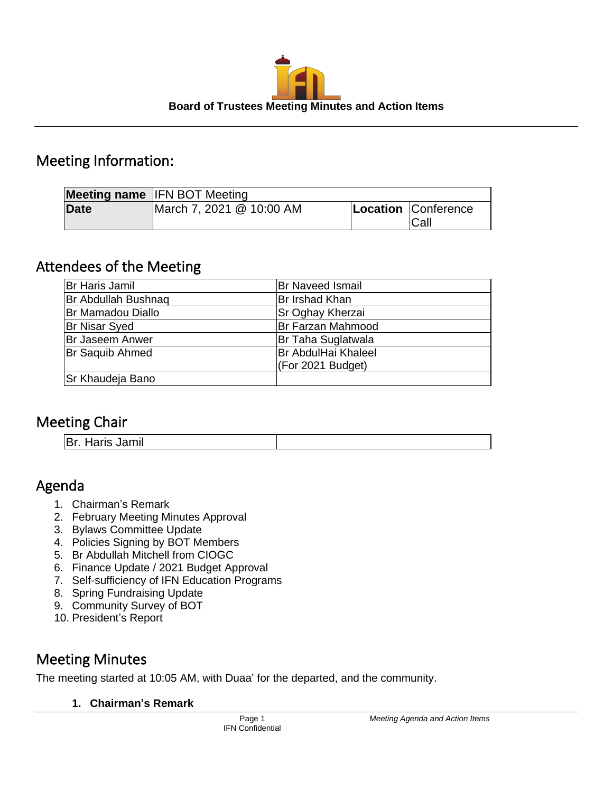

# Meeting Information:

|             | <b>Meeting name IFN BOT Meeting</b> |                             |
|-------------|-------------------------------------|-----------------------------|
| <b>Date</b> | March 7, 2021 @ 10:00 AM            | Location Conference<br>Call |

# Attendees of the Meeting

| Br Haris Jamil         | <b>Br Naveed Ismail</b>    |
|------------------------|----------------------------|
| Br Abdullah Bushnaq    | Br Irshad Khan             |
| Br Mamadou Diallo      | Sr Oghay Kherzai           |
| <b>Br Nisar Syed</b>   | Br Farzan Mahmood          |
| <b>Br Jaseem Anwer</b> | Br Taha Suglatwala         |
| Br Saquib Ahmed        | <b>Br AbdulHai Khaleel</b> |
|                        | (For 2021 Budget)          |
| Sr Khaudeja Bano       |                            |

# Meeting Chair

| Br. Haris Jamil |
|-----------------|
|-----------------|

# Agenda

- 1. Chairman's Remark
- 2. February Meeting Minutes Approval
- 3. Bylaws Committee Update
- 4. Policies Signing by BOT Members
- 5. Br Abdullah Mitchell from CIOGC
- 6. Finance Update / 2021 Budget Approval
- 7. Self-sufficiency of IFN Education Programs
- 8. Spring Fundraising Update
- 9. Community Survey of BOT
- 10. President's Report

# Meeting Minutes

The meeting started at 10:05 AM, with Duaa' for the departed, and the community.

## **1. Chairman's Remark**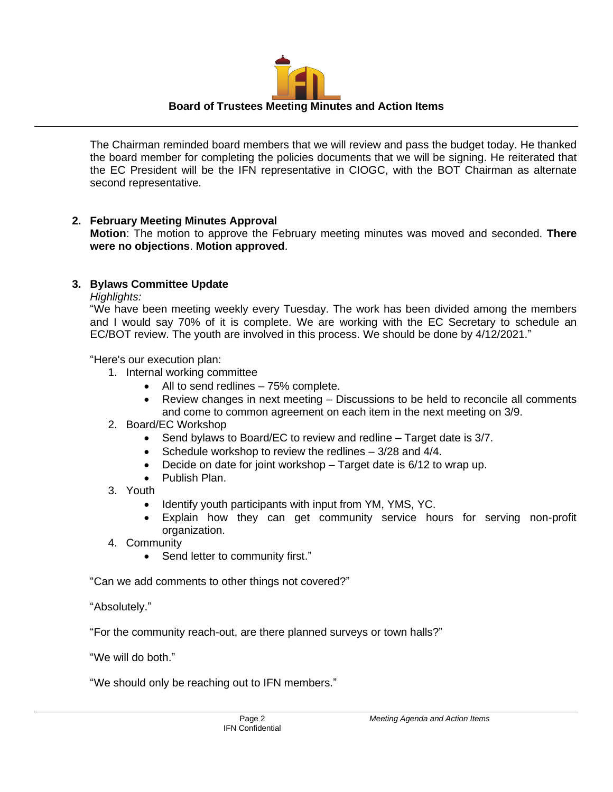

The Chairman reminded board members that we will review and pass the budget today. He thanked the board member for completing the policies documents that we will be signing. He reiterated that the EC President will be the IFN representative in CIOGC, with the BOT Chairman as alternate second representative.

### **2. February Meeting Minutes Approval**

**Motion**: The motion to approve the February meeting minutes was moved and seconded. **There were no objections**. **Motion approved**.

### **3. Bylaws Committee Update**

*Highlights:*

"We have been meeting weekly every Tuesday. The work has been divided among the members and I would say 70% of it is complete. We are working with the EC Secretary to schedule an EC/BOT review. The youth are involved in this process. We should be done by 4/12/2021."

"Here's our execution plan:

- 1. Internal working committee
	- All to send redlines 75% complete.
	- Review changes in next meeting Discussions to be held to reconcile all comments and come to common agreement on each item in the next meeting on 3/9.
- 2. Board/EC Workshop
	- Send bylaws to Board/EC to review and redline Target date is 3/7.
	- Schedule workshop to review the redlines 3/28 and 4/4.
	- Decide on date for joint workshop Target date is 6/12 to wrap up.
	- Publish Plan.
- 3. Youth
	- Identify youth participants with input from YM, YMS, YC.
	- Explain how they can get community service hours for serving non-profit organization.
- 4. Community
	- Send letter to community first."

"Can we add comments to other things not covered?"

"Absolutely."

"For the community reach-out, are there planned surveys or town halls?"

"We will do both."

"We should only be reaching out to IFN members."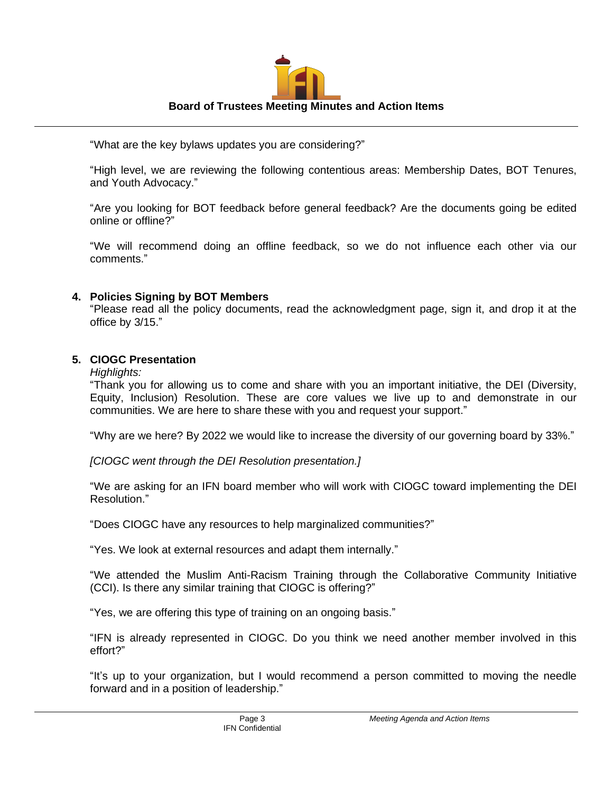

"What are the key bylaws updates you are considering?"

"High level, we are reviewing the following contentious areas: Membership Dates, BOT Tenures, and Youth Advocacy."

"Are you looking for BOT feedback before general feedback? Are the documents going be edited online or offline?"

"We will recommend doing an offline feedback, so we do not influence each other via our comments."

#### **4. Policies Signing by BOT Members**

"Please read all the policy documents, read the acknowledgment page, sign it, and drop it at the office by 3/15."

### **5. CIOGC Presentation**

#### *Highlights:*

"Thank you for allowing us to come and share with you an important initiative, the DEI (Diversity, Equity, Inclusion) Resolution. These are core values we live up to and demonstrate in our communities. We are here to share these with you and request your support."

"Why are we here? By 2022 we would like to increase the diversity of our governing board by 33%."

*[CIOGC went through the DEI Resolution presentation.]*

"We are asking for an IFN board member who will work with CIOGC toward implementing the DEI Resolution."

"Does CIOGC have any resources to help marginalized communities?"

"Yes. We look at external resources and adapt them internally."

"We attended the Muslim Anti-Racism Training through the Collaborative Community Initiative (CCI). Is there any similar training that CIOGC is offering?"

"Yes, we are offering this type of training on an ongoing basis."

"IFN is already represented in CIOGC. Do you think we need another member involved in this effort?"

"It's up to your organization, but I would recommend a person committed to moving the needle forward and in a position of leadership."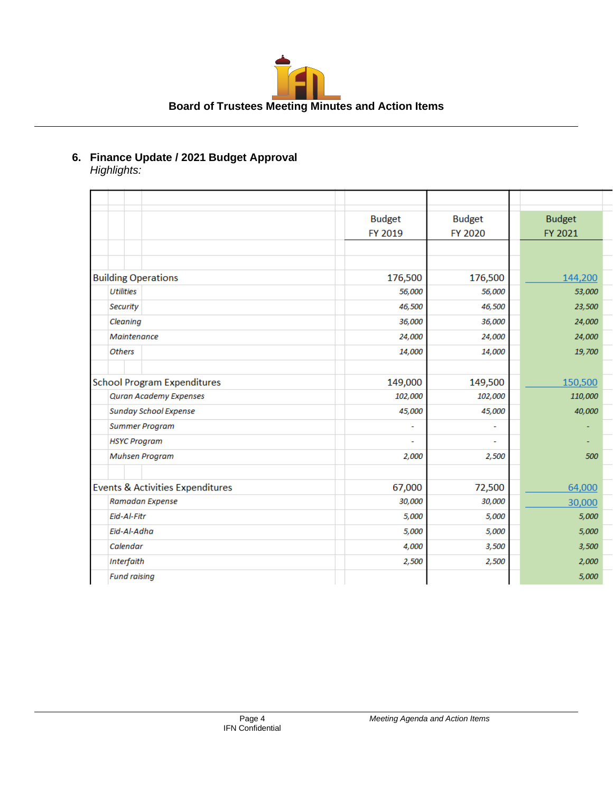

#### **6. Finance Update / 2021 Budget Approval** *Highlights:*

|                                             | <b>Budget</b>  | <b>Budget</b> | <b>Budget</b> |
|---------------------------------------------|----------------|---------------|---------------|
|                                             | FY 2019        | FY 2020       | FY 2021       |
|                                             |                |               |               |
|                                             |                |               |               |
| <b>Building Operations</b>                  | 176,500        | 176,500       | 144,200       |
| <b>Utilities</b>                            | 56,000         | 56,000        | 53,000        |
| Security                                    | 46,500         | 46,500        | 23,500        |
| Cleaning                                    | 36,000         | 36,000        | 24,000        |
| Maintenance                                 | 24,000         | 24,000        | 24,000        |
| <b>Others</b>                               | 14,000         | 14,000        | 19,700        |
|                                             |                |               |               |
| <b>School Program Expenditures</b>          | 149,000        | 149,500       | 150,500       |
| <b>Quran Academy Expenses</b>               | 102,000        | 102,000       | 110,000       |
| <b>Sunday School Expense</b>                | 45,000         | 45,000        | 40,000        |
| <b>Summer Program</b>                       | ٠              |               |               |
| <b>HSYC Program</b>                         | $\overline{a}$ |               |               |
| <b>Muhsen Program</b>                       | 2,000          | 2,500         | 500           |
|                                             |                |               |               |
| <b>Events &amp; Activities Expenditures</b> | 67,000         | 72,500        | 64,000        |
| Ramadan Expense                             | 30,000         | 30,000        | 30,000        |
| Eid-Al-Fitr                                 | 5,000          | 5,000         | 5,000         |
| Eid-Al-Adha                                 | 5,000          | 5,000         | 5,000         |
| Calendar                                    | 4,000          | 3,500         | 3,500         |
| Interfaith                                  | 2,500          | 2,500         | 2,000         |
| <b>Fund raising</b>                         |                |               | 5,000         |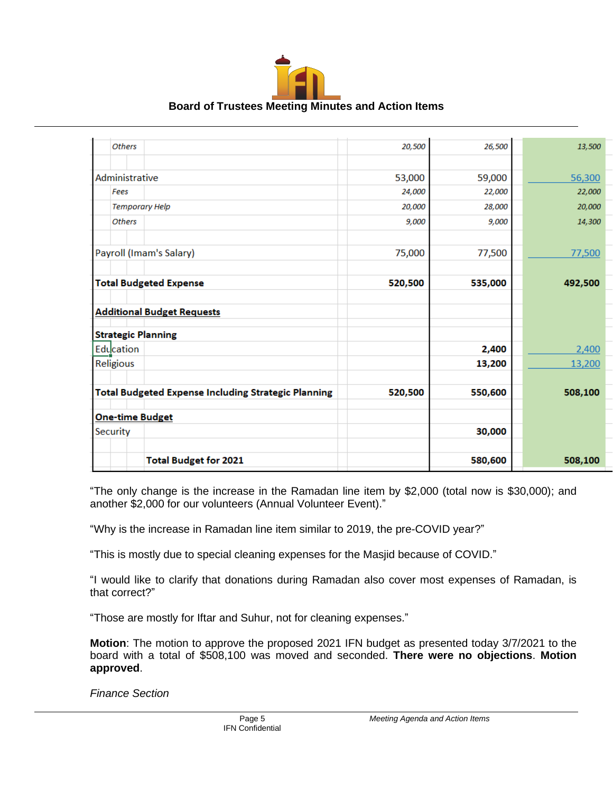

| <b>Others</b>                                              | 20,500  | 26,500  | 13,500  |
|------------------------------------------------------------|---------|---------|---------|
|                                                            |         |         |         |
| Administrative                                             | 53,000  | 59,000  | 56,300  |
| Fees                                                       | 24,000  | 22,000  | 22,000  |
| <b>Temporary Help</b>                                      | 20,000  | 28,000  | 20,000  |
| <b>Others</b>                                              | 9,000   | 9,000   | 14,300  |
|                                                            |         |         |         |
| Payroll (Imam's Salary)                                    | 75,000  | 77,500  | 77,500  |
|                                                            |         |         |         |
| <b>Total Budgeted Expense</b>                              | 520,500 | 535,000 | 492,500 |
|                                                            |         |         |         |
| <b>Additional Budget Requests</b>                          |         |         |         |
| <b>Strategic Planning</b>                                  |         |         |         |
| Education                                                  |         | 2,400   | 2,400   |
| Religious                                                  |         | 13,200  | 13,200  |
|                                                            |         |         |         |
| <b>Total Budgeted Expense Including Strategic Planning</b> | 520,500 | 550,600 | 508,100 |
| <b>One-time Budget</b>                                     |         |         |         |
| Security                                                   |         | 30,000  |         |
|                                                            |         |         |         |
| <b>Total Budget for 2021</b>                               |         | 580,600 | 508,100 |

"The only change is the increase in the Ramadan line item by \$2,000 (total now is \$30,000); and another \$2,000 for our volunteers (Annual Volunteer Event)."

"Why is the increase in Ramadan line item similar to 2019, the pre-COVID year?"

"This is mostly due to special cleaning expenses for the Masjid because of COVID."

"I would like to clarify that donations during Ramadan also cover most expenses of Ramadan, is that correct?"

"Those are mostly for Iftar and Suhur, not for cleaning expenses."

**Motion**: The motion to approve the proposed 2021 IFN budget as presented today 3/7/2021 to the board with a total of \$508,100 was moved and seconded. **There were no objections**. **Motion approved**.

*Finance Section*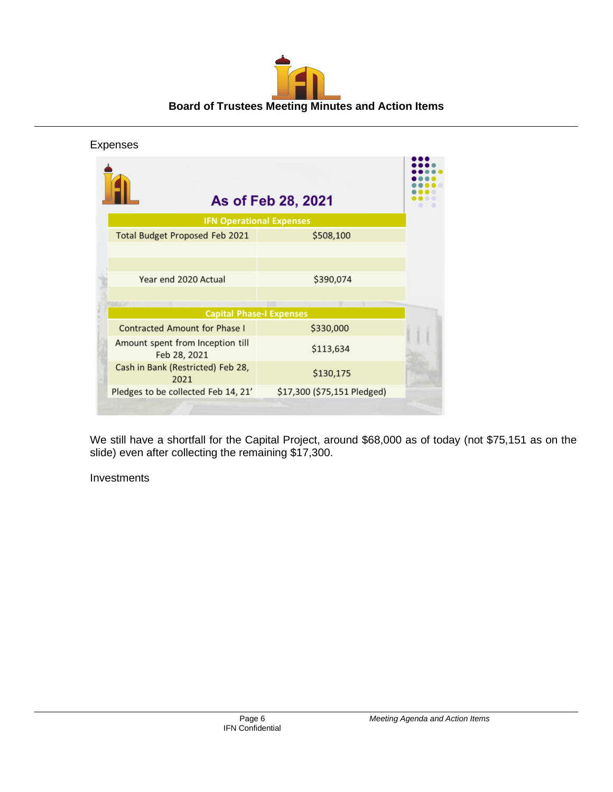

| Expenses                                         |                                 |  |
|--------------------------------------------------|---------------------------------|--|
|                                                  | As of Feb 28, 2021              |  |
|                                                  | <b>IFN Operational Expenses</b> |  |
| Total Budget Proposed Feb 2021                   | \$508,100                       |  |
|                                                  |                                 |  |
|                                                  |                                 |  |
| Year end 2020 Actual                             | \$390,074                       |  |
|                                                  |                                 |  |
|                                                  |                                 |  |
| <b>Capital Phase-I Expenses</b>                  |                                 |  |
| <b>Contracted Amount for Phase I</b>             | \$330,000                       |  |
| Amount spent from Inception till<br>Feb 28, 2021 | \$113,634                       |  |
| Cash in Bank (Restricted) Feb 28,<br>2021        | \$130,175                       |  |
| Pledges to be collected Feb 14, 21'              | \$17,300 (\$75,151 Pledged)     |  |
|                                                  |                                 |  |

We still have a shortfall for the Capital Project, around \$68,000 as of today (not \$75,151 as on the slide) even after collecting the remaining \$17,300.

Investments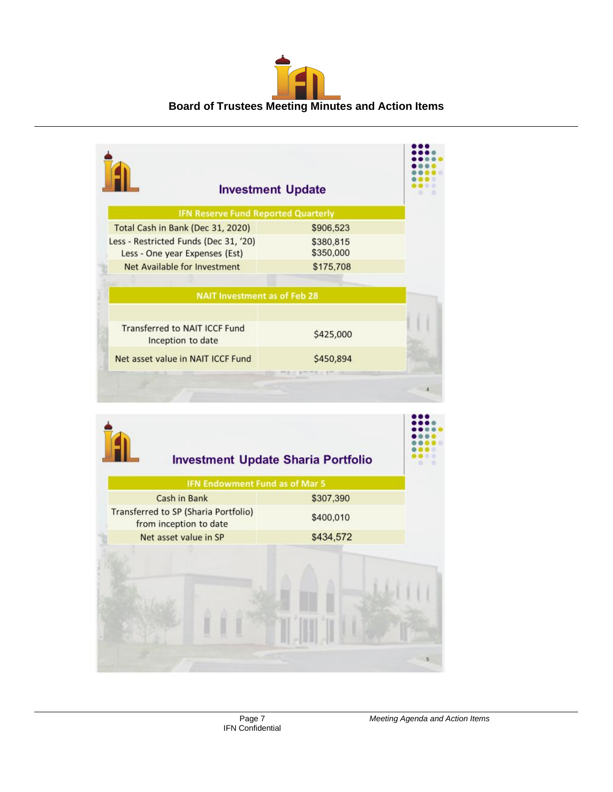

| <b>Investment Update</b>                                                |                        |  |
|-------------------------------------------------------------------------|------------------------|--|
| <b>IFN Reserve Fund Reported Quarterly</b>                              |                        |  |
| Total Cash in Bank (Dec 31, 2020)                                       | \$906,523              |  |
| Less - Restricted Funds (Dec 31, '20)<br>Less - One year Expenses (Est) | \$380,815<br>\$350,000 |  |
| Net Available for Investment                                            | \$175,708              |  |
| <b>NAIT Investment as of Feb 28</b>                                     |                        |  |
|                                                                         |                        |  |
| Transferred to NAIT ICCF Fund<br>Inception to date                      | \$425,000              |  |
| Net asset value in NAIT ICCF Fund                                       | \$450,894              |  |

| <b>IFN Endowment Fund as of Mar 5</b>                          |           |  |
|----------------------------------------------------------------|-----------|--|
| Cash in Bank                                                   | \$307,390 |  |
| Transferred to SP (Sharia Portfolio)<br>from inception to date | \$400,010 |  |
| Net asset value in SP                                          | \$434,572 |  |
|                                                                |           |  |
|                                                                |           |  |
|                                                                |           |  |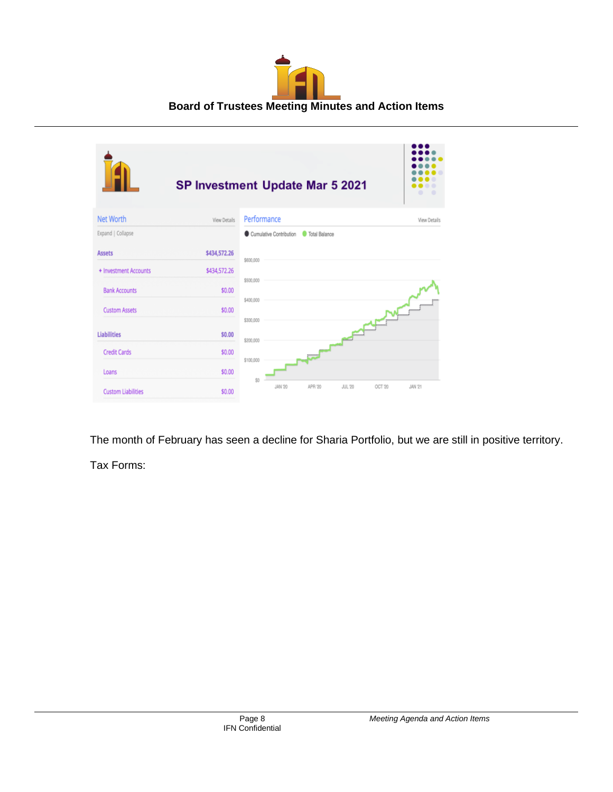

|                           | SP Investment Update Mar 5 2021 |                        |                         |                        |               |                  |                     |
|---------------------------|---------------------------------|------------------------|-------------------------|------------------------|---------------|------------------|---------------------|
| <b>Net Worth</b>          | View Details                    | Performance            |                         |                        |               |                  | <b>View Details</b> |
| Expand   Collapse         |                                 |                        | Cumulative Contribution | <b>C</b> Total Balance |               |                  |                     |
| <b>Assets</b>             | \$434,572.26                    | \$600,000              |                         |                        |               |                  |                     |
| + Investment Accounts     | \$434,572.26                    |                        |                         |                        |               |                  |                     |
| <b>Bank Accounts</b>      | \$0.00                          | \$500,000              |                         |                        |               |                  |                     |
| <b>Custom Assets</b>      | \$0.00                          | \$400,000<br>\$300,000 |                         |                        |               |                  | <br>                |
| <b>Liabilities</b>        | \$0.00                          | \$200,000              |                         |                        | $\epsilon$    | <br><b>Human</b> |                     |
| <b>Credit Cards</b>       | \$0.00                          |                        |                         | 3111111111             |               |                  |                     |
| Loans                     | \$0.00                          | \$100,000              |                         |                        |               |                  |                     |
| <b>Custom Liabilities</b> | \$0.00                          | \$0                    | JAN '20                 | APR '20                | <b>JUL 20</b> | OCT 20           | <b>JAN 21</b>       |

The month of February has seen a decline for Sharia Portfolio, but we are still in positive territory.

Tax Forms: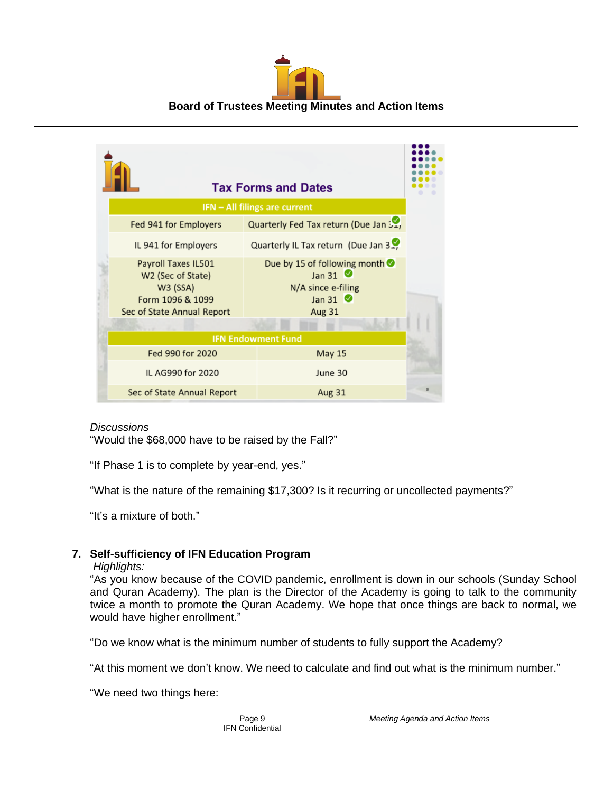

|                                                                                                        | <b>Tax Forms and Dates</b>                                                                           |  |  |
|--------------------------------------------------------------------------------------------------------|------------------------------------------------------------------------------------------------------|--|--|
|                                                                                                        | IFN – All filings are current                                                                        |  |  |
| Fed 941 for Employers                                                                                  | Quarterly Fed Tax return (Due Jan 51,                                                                |  |  |
| IL 941 for Employers                                                                                   | Quarterly IL Tax return (Due Jan 3.,                                                                 |  |  |
| Payroll Taxes IL501<br>W2 (Sec of State)<br>W3 (SSA)<br>Form 1096 & 1099<br>Sec of State Annual Report | Due by 15 of following month<br>Jan 31 $\bullet$<br>N/A since e-filing<br>Jan 31 $\bullet$<br>Aug 31 |  |  |
| <b>IFN Endowment Fund</b>                                                                              |                                                                                                      |  |  |
| Fed 990 for 2020                                                                                       | <b>May 15</b>                                                                                        |  |  |
| IL AG990 for 2020                                                                                      | June 30                                                                                              |  |  |
| Sec of State Annual Report                                                                             | Aug 31                                                                                               |  |  |

#### *Discussions*

"Would the \$68,000 have to be raised by the Fall?"

"If Phase 1 is to complete by year-end, yes."

"What is the nature of the remaining \$17,300? Is it recurring or uncollected payments?"

"It's a mixture of both."

## **7. Self-sufficiency of IFN Education Program**

#### *Highlights:*

"As you know because of the COVID pandemic, enrollment is down in our schools (Sunday School and Quran Academy). The plan is the Director of the Academy is going to talk to the community twice a month to promote the Quran Academy. We hope that once things are back to normal, we would have higher enrollment."

"Do we know what is the minimum number of students to fully support the Academy?

"At this moment we don't know. We need to calculate and find out what is the minimum number."

"We need two things here: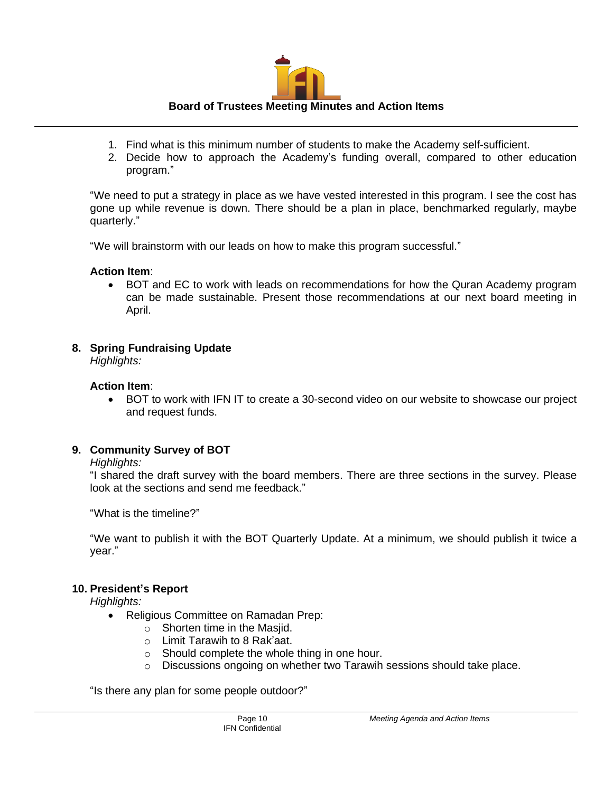

- 1. Find what is this minimum number of students to make the Academy self-sufficient.
- 2. Decide how to approach the Academy's funding overall, compared to other education program."

"We need to put a strategy in place as we have vested interested in this program. I see the cost has gone up while revenue is down. There should be a plan in place, benchmarked regularly, maybe quarterly."

"We will brainstorm with our leads on how to make this program successful."

## **Action Item**:

• BOT and EC to work with leads on recommendations for how the Quran Academy program can be made sustainable. Present those recommendations at our next board meeting in April.

# **8. Spring Fundraising Update**

*Highlights:*

# **Action Item**:

• BOT to work with IFN IT to create a 30-second video on our website to showcase our project and request funds.

# **9. Community Survey of BOT**

## *Highlights:*

"I shared the draft survey with the board members. There are three sections in the survey. Please look at the sections and send me feedback."

"What is the timeline?"

"We want to publish it with the BOT Quarterly Update. At a minimum, we should publish it twice a year."

# **10. President's Report**

*Highlights:*

- Religious Committee on Ramadan Prep:
	- o Shorten time in the Masjid.
	- o Limit Tarawih to 8 Rak'aat.
	- o Should complete the whole thing in one hour.
	- $\circ$  Discussions ongoing on whether two Tarawih sessions should take place.

"Is there any plan for some people outdoor?"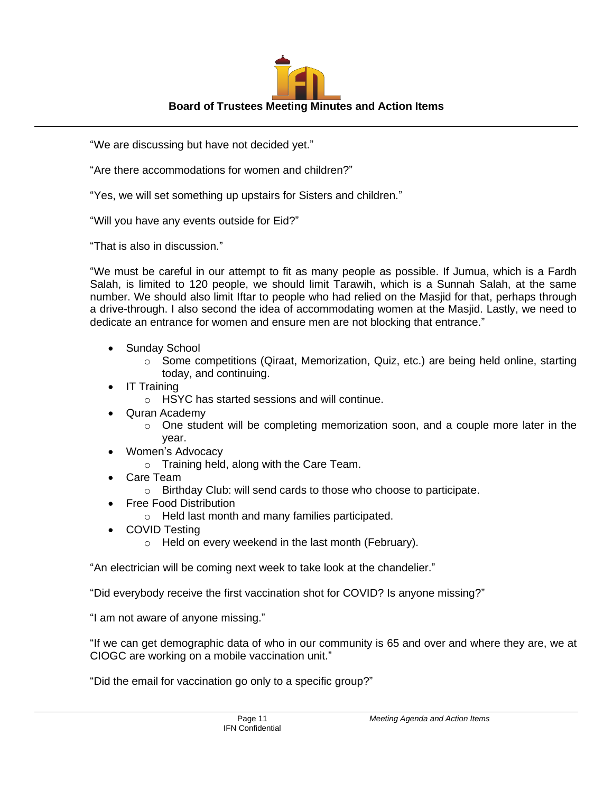

"We are discussing but have not decided yet."

"Are there accommodations for women and children?"

"Yes, we will set something up upstairs for Sisters and children."

"Will you have any events outside for Eid?"

"That is also in discussion."

"We must be careful in our attempt to fit as many people as possible. If Jumua, which is a Fardh Salah, is limited to 120 people, we should limit Tarawih, which is a Sunnah Salah, at the same number. We should also limit Iftar to people who had relied on the Masjid for that, perhaps through a drive-through. I also second the idea of accommodating women at the Masjid. Lastly, we need to dedicate an entrance for women and ensure men are not blocking that entrance."

- Sunday School
	- $\circ$  Some competitions (Qiraat, Memorization, Quiz, etc.) are being held online, starting today, and continuing.
- IT Training
	- o HSYC has started sessions and will continue.
- Quran Academy
	- o One student will be completing memorization soon, and a couple more later in the year.
- Women's Advocacy
	- o Training held, along with the Care Team.
- Care Team
	- o Birthday Club: will send cards to those who choose to participate.
- Free Food Distribution
	- o Held last month and many families participated.
- COVID Testing
	- o Held on every weekend in the last month (February).

"An electrician will be coming next week to take look at the chandelier."

"Did everybody receive the first vaccination shot for COVID? Is anyone missing?"

"I am not aware of anyone missing."

"If we can get demographic data of who in our community is 65 and over and where they are, we at CIOGC are working on a mobile vaccination unit."

"Did the email for vaccination go only to a specific group?"